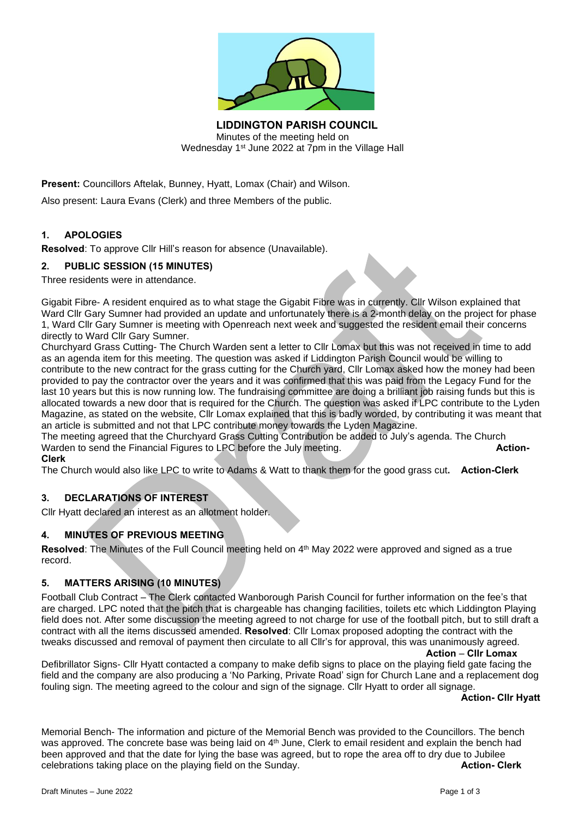

**LIDDINGTON PARISH COUNCIL** Minutes of the meeting held on Wednesday 1<sup>st</sup> June 2022 at 7pm in the Village Hall

**Present:** Councillors Aftelak, Bunney, Hyatt, Lomax (Chair) and Wilson.

Also present: Laura Evans (Clerk) and three Members of the public.

# **1. APOLOGIES**

**Resolved**: To approve Cllr Hill's reason for absence (Unavailable).

#### **2. PUBLIC SESSION (15 MINUTES)**

Three residents were in attendance.

Gigabit Fibre- A resident enquired as to what stage the Gigabit Fibre was in currently. Cllr Wilson explained that Ward Cllr Gary Sumner had provided an update and unfortunately there is a 2-month delay on the project for phase 1, Ward Cllr Gary Sumner is meeting with Openreach next week and suggested the resident email their concerns directly to Ward Cllr Gary Sumner.

Churchyard Grass Cutting- The Church Warden sent a letter to Cllr Lomax but this was not received in time to add as an agenda item for this meeting. The question was asked if Liddington Parish Council would be willing to contribute to the new contract for the grass cutting for the Church yard, Cllr Lomax asked how the money had been provided to pay the contractor over the years and it was confirmed that this was paid from the Legacy Fund for the last 10 years but this is now running low. The fundraising committee are doing a brilliant job raising funds but this is allocated towards a new door that is required for the Church. The question was asked if LPC contribute to the Lyden Magazine, as stated on the website, Cllr Lomax explained that this is badly worded, by contributing it was meant that an article is submitted and not that LPC contribute money towards the Lyden Magazine.

The meeting agreed that the Churchyard Grass Cutting Contribution be added to July's agenda. The Church Warden to send the Financial Figures to LPC before the July meeting. **Action- Action-Clerk**

The Church would also like LPC to write to Adams & Watt to thank them for the good grass cut**. Action-Clerk**

# **3. DECLARATIONS OF INTEREST**

Cllr Hyatt declared an interest as an allotment holder.

# **4. MINUTES OF PREVIOUS MEETING**

**Resolved**: The Minutes of the Full Council meeting held on 4<sup>th</sup> May 2022 were approved and signed as a true record.

# **5. MATTERS ARISING (10 MINUTES)**

Football Club Contract – The Clerk contacted Wanborough Parish Council for further information on the fee's that are charged. LPC noted that the pitch that is chargeable has changing facilities, toilets etc which Liddington Playing field does not. After some discussion the meeting agreed to not charge for use of the football pitch, but to still draft a contract with all the items discussed amended. **Resolved**: Cllr Lomax proposed adopting the contract with the tweaks discussed and removal of payment then circulate to all Cllr's for approval, this was unanimously agreed.

**Action** – **Cllr Lomax**

Defibrillator Signs- Cllr Hyatt contacted a company to make defib signs to place on the playing field gate facing the field and the company are also producing a 'No Parking, Private Road' sign for Church Lane and a replacement dog fouling sign. The meeting agreed to the colour and sign of the signage. Cllr Hyatt to order all signage.

#### **Action- Cllr Hyatt**

Memorial Bench- The information and picture of the Memorial Bench was provided to the Councillors. The bench was approved. The concrete base was being laid on 4<sup>th</sup> June, Clerk to email resident and explain the bench had been approved and that the date for lying the base was agreed, but to rope the area off to dry due to Jubilee celebrations taking place on the playing field on the Sunday. **Action- Clerk**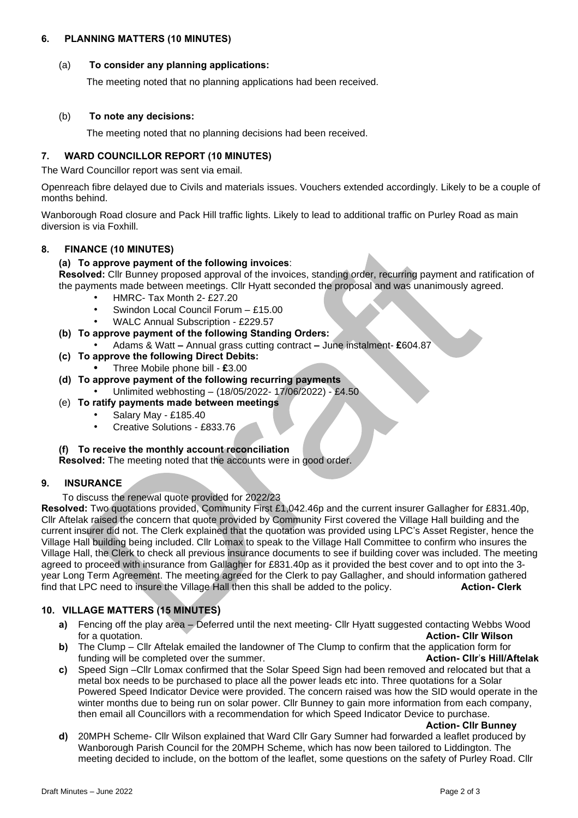## **6. PLANNING MATTERS (10 MINUTES)**

# (a) **To consider any planning applications:**

The meeting noted that no planning applications had been received.

#### (b) **To note any decisions:**

The meeting noted that no planning decisions had been received.

# **7. WARD COUNCILLOR REPORT (10 MINUTES)**

The Ward Councillor report was sent via email.

Openreach fibre delayed due to Civils and materials issues. Vouchers extended accordingly. Likely to be a couple of months behind.

Wanborough Road closure and Pack Hill traffic lights. Likely to lead to additional traffic on Purley Road as main diversion is via Foxhill.

# **8. FINANCE (10 MINUTES)**

#### **(a) To approve payment of the following invoices**:

**Resolved:** Cllr Bunney proposed approval of the invoices, standing order, recurring payment and ratification of the payments made between meetings. Cllr Hyatt seconded the proposal and was unanimously agreed.

- HMRC- Tax Month 2- £27.20
- Swindon Local Council Forum £15.00
	- WALC Annual Subscription £229.57
- **(b) To approve payment of the following Standing Orders:**
	- Adams & Watt **–** Annual grass cutting contract **–** June instalment- **£**604.87
- **(c) To approve the following Direct Debits:**
	- **•** Three Mobile phone bill **£**3.00
- **(d) To approve payment of the following recurring payments**
	- Unlimited webhosting (18/05/2022- 17/06/2022) £4.50
- (e) **To ratify payments made between meetings**
	- Salary May £185.40
	- Creative Solutions £833.76

#### **(f) To receive the monthly account reconciliation**

**Resolved:** The meeting noted that the accounts were in good order.

# **9. INSURANCE**

To discuss the renewal quote provided for 2022/23

**Resolved:** Two quotations provided, Community First £1,042.46p and the current insurer Gallagher for £831.40p, Cllr Aftelak raised the concern that quote provided by Community First covered the Village Hall building and the current insurer did not. The Clerk explained that the quotation was provided using LPC's Asset Register, hence the Village Hall building being included. Cllr Lomax to speak to the Village Hall Committee to confirm who insures the Village Hall, the Clerk to check all previous insurance documents to see if building cover was included. The meeting agreed to proceed with insurance from Gallagher for £831.40p as it provided the best cover and to opt into the 3 year Long Term Agreement. The meeting agreed for the Clerk to pay Gallagher, and should information gathered find that LPC need to insure the Village Hall then this shall be added to the policy. **Action- Clerk**

# **10. VILLAGE MATTERS (15 MINUTES)**

- **a)** Fencing off the play area Deferred until the next meeting- Cllr Hyatt suggested contacting Webbs Wood for a quotation. **Action- Cllr Wilson**
- **b)** The Clump Cllr Aftelak emailed the landowner of The Clump to confirm that the application form for funding will be completed over the summer. **Action- Cllr**'**s Hill/Aftelak**
- **c)** Speed Sign –Cllr Lomax confirmed that the Solar Speed Sign had been removed and relocated but that a metal box needs to be purchased to place all the power leads etc into. Three quotations for a Solar Powered Speed Indicator Device were provided. The concern raised was how the SID would operate in the winter months due to being run on solar power. Cllr Bunney to gain more information from each company, then email all Councillors with a recommendation for which Speed Indicator Device to purchase.

**Action- Cllr Bunney**

**d)** 20MPH Scheme- Cllr Wilson explained that Ward Cllr Gary Sumner had forwarded a leaflet produced by Wanborough Parish Council for the 20MPH Scheme, which has now been tailored to Liddington. The meeting decided to include, on the bottom of the leaflet, some questions on the safety of Purley Road. Cllr